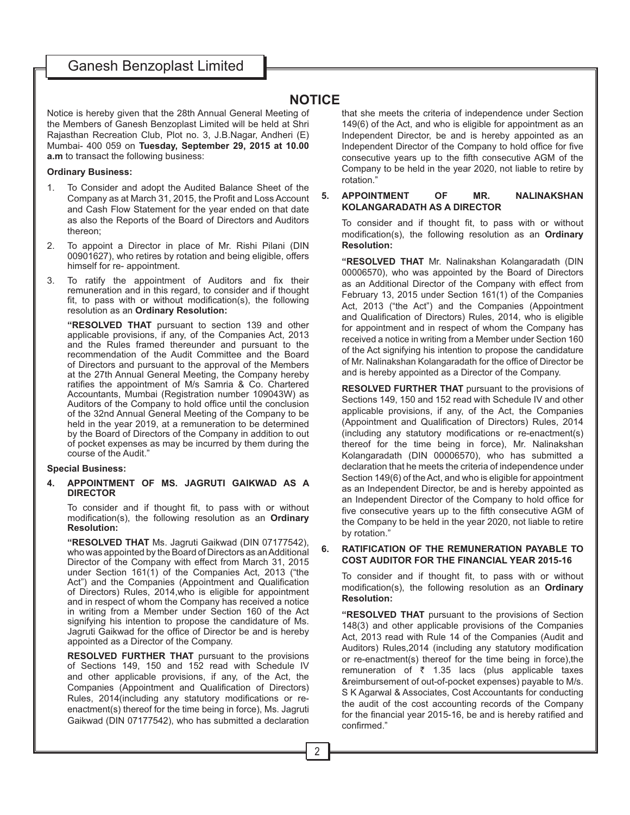# **NOTICE**

Notice is hereby given that the 28th Annual General Meeting of the Members of Ganesh Benzoplast Limited will be held at Shri Rajasthan Recreation Club, Plot no. 3, J.B.Nagar, Andheri (E) Mumbai- 400 059 on **Tuesday, September 29, 2015 at 10.00 a.m** to transact the following business:

## **Ordinary Business:**

- 1. To Consider and adopt the Audited Balance Sheet of the Company as at March 31, 2015, the Profit and Loss Account and Cash Flow Statement for the year ended on that date as also the Reports of the Board of Directors and Auditors thereon;
- 2. To appoint a Director in place of Mr. Rishi Pilani (DIN 00901627), who retires by rotation and being eligible, offers himself for re- appointment.
- 3. To ratify the appointment of Auditors and fix their remuneration and in this regard, to consider and if thought fit, to pass with or without modification(s), the following resolution as an **Ordinary Resolution:**

**"RESOLVED THAT** pursuant to section 139 and other applicable provisions, if any, of the Companies Act, 2013 and the Rules framed thereunder and pursuant to the recommendation of the Audit Committee and the Board of Directors and pursuant to the approval of the Members at the 27th Annual General Meeting, the Company hereby ratifies the appointment of M/s Samria & Co. Chartered Accountants, Mumbai (Registration number 109043W) as Auditors of the Company to hold office until the conclusion of the 32nd Annual General Meeting of the Company to be held in the year 2019, at a remuneration to be determined by the Board of Directors of the Company in addition to out of pocket expenses as may be incurred by them during the course of the Audit."

## **Special Business:**

## **4. APPOINTMENT OF MS. JAGRUTI GAIKWAD AS A DIRECTOR**

To consider and if thought fit, to pass with or without modification(s), the following resolution as an Ordinary **Resolution:**

**"RESOLVED THAT** Ms. Jagruti Gaikwad (DIN 07177542), who was appointed by the Board of Directors as an Additional Director of the Company with effect from March 31, 2015 under Section 161(1) of the Companies Act, 2013 ("the Act") and the Companies (Appointment and Qualification of Directors) Rules, 2014,who is eligible for appointment and in respect of whom the Company has received a notice in writing from a Member under Section 160 of the Act signifying his intention to propose the candidature of Ms. Jagruti Gaikwad for the office of Director be and is hereby appointed as a Director of the Company.

**RESOLVED FURTHER THAT** pursuant to the provisions of Sections 149, 150 and 152 read with Schedule IV and other applicable provisions, if any, of the Act, the Companies (Appointment and Qualification of Directors) Rules, 2014 (including any statutory modifications or reenactment(s) thereof for the time being in force), Ms. Jagruti Gaikwad (DIN 07177542), who has submitted a declaration that she meets the criteria of independence under Section 149(6) of the Act, and who is eligible for appointment as an Independent Director, be and is hereby appointed as an Independent Director of the Company to hold office for five consecutive years up to the fifth consecutive AGM of the Company to be held in the year 2020, not liable to retire by rotation."

## **5. APPOINTMENT OF MR. NALINAKSHAN KOLANGARADATH AS A DIRECTOR**

To consider and if thought fit, to pass with or without modification(s), the following resolution as an **Ordinary Resolution:**

**"RESOLVED THAT** Mr. Nalinakshan Kolangaradath (DIN 00006570), who was appointed by the Board of Directors as an Additional Director of the Company with effect from February 13, 2015 under Section 161(1) of the Companies Act, 2013 ("the Act") and the Companies (Appointment and Qualification of Directors) Rules, 2014, who is eligible for appointment and in respect of whom the Company has received a notice in writing from a Member under Section 160 of the Act signifying his intention to propose the candidature of Mr. Nalinakshan Kolangaradath for the office of Director be and is hereby appointed as a Director of the Company.

**RESOLVED FURTHER THAT** pursuant to the provisions of Sections 149, 150 and 152 read with Schedule IV and other applicable provisions, if any, of the Act, the Companies (Appointment and Qualification of Directors) Rules, 2014  $(including any statutory modifications or re-enactment(s)$ thereof for the time being in force), Mr. Nalinakshan Kolangaradath (DIN 00006570), who has submitted a declaration that he meets the criteria of independence under Section 149(6) of the Act, and who is eligible for appointment as an Independent Director, be and is hereby appointed as an Independent Director of the Company to hold office for five consecutive years up to the fifth consecutive AGM of the Company to be held in the year 2020, not liable to retire by rotation."

## **6. RATIFICATION OF THE REMUNERATION PAYABLE TO COST AUDITOR FOR THE FINANCIAL YEAR 2015-16**

To consider and if thought fit, to pass with or without modification(s), the following resolution as an **Ordinary Resolution:**

**"RESOLVED THAT** pursuant to the provisions of Section 148(3) and other applicable provisions of the Companies Act, 2013 read with Rule 14 of the Companies (Audit and Auditors) Rules, 2014 (including any statutory modification or re-enactment(s) thereof for the time being in force),the remuneration of  $\bar{\tau}$  1.35 lacs (plus applicable taxes & reimbursement of out-of-pocket expenses) payable to M/s. S K Agarwal & Associates, Cost Accountants for conducting the audit of the cost accounting records of the Company for the financial year 2015-16, be and is hereby ratified and confirmed."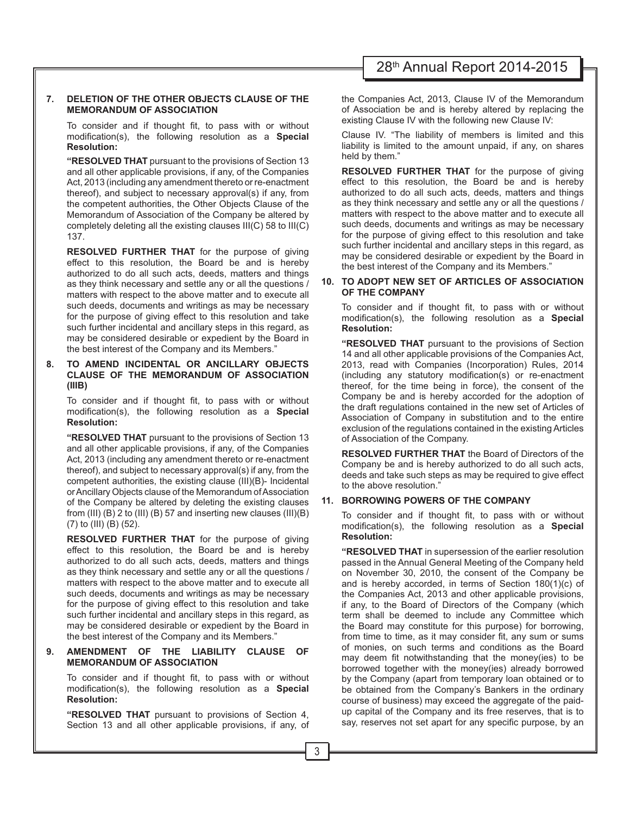# 28th Annual Report 2014-2015

## **7. DELETION OF THE OTHER OBJECTS CLAUSE OF THE MEMORANDUM OF ASSOCIATION**

To consider and if thought fit, to pass with or without modification(s), the following resolution as a **Special Resolution:**

**"RESOLVED THAT** pursuant to the provisions of Section 13 and all other applicable provisions, if any, of the Companies Act, 2013 (including any amendment thereto or re-enactment thereof), and subject to necessary approval(s) if any, from the competent authorities, the Other Objects Clause of the Memorandum of Association of the Company be altered by completely deleting all the existing clauses  $III(C)$  58 to  $III(C)$ 137.

**RESOLVED FURTHER THAT** for the purpose of giving effect to this resolution, the Board be and is hereby authorized to do all such acts, deeds, matters and things as they think necessary and settle any or all the questions / matters with respect to the above matter and to execute all such deeds, documents and writings as may be necessary for the purpose of giving effect to this resolution and take such further incidental and ancillary steps in this regard, as may be considered desirable or expedient by the Board in the best interest of the Company and its Members."

## **8. TO AMEND INCIDENTAL OR ANCILLARY OBJECTS CLAUSE OF THE MEMORANDUM OF ASSOCIATION (IIIB)**

To consider and if thought fit, to pass with or without modification(s), the following resolution as a **Special Resolution:**

**"RESOLVED THAT** pursuant to the provisions of Section 13 and all other applicable provisions, if any, of the Companies Act, 2013 (including any amendment thereto or re-enactment thereof), and subject to necessary approval(s) if any, from the competent authorities, the existing clause (III) $(B)$ - Incidental or Ancillary Objects clause of the Memorandum of Association of the Company be altered by deleting the existing clauses from (III) (B) 2 to (III) (B) 57 and inserting new clauses (III)(B) (7) to (III) (B) (52).

**RESOLVED FURTHER THAT** for the purpose of giving effect to this resolution, the Board be and is hereby authorized to do all such acts, deeds, matters and things as they think necessary and settle any or all the questions / matters with respect to the above matter and to execute all such deeds, documents and writings as may be necessary for the purpose of giving effect to this resolution and take such further incidental and ancillary steps in this regard, as may be considered desirable or expedient by the Board in the best interest of the Company and its Members."

## **9. AMENDMENT OF THE LIABILITY CLAUSE OF MEMORANDUM OF ASSOCIATION**

To consider and if thought fit, to pass with or without modification(s), the following resolution as a **Special Resolution:**

**"RESOLVED THAT** pursuant to provisions of Section 4, Section 13 and all other applicable provisions, if any, of the Companies Act, 2013, Clause IV of the Memorandum of Association be and is hereby altered by replacing the existing Clause IV with the following new Clause IV:

Clause IV. "The liability of members is limited and this liability is limited to the amount unpaid, if any, on shares held by them."

**RESOLVED FURTHER THAT** for the purpose of giving effect to this resolution, the Board be and is hereby authorized to do all such acts, deeds, matters and things as they think necessary and settle any or all the questions / matters with respect to the above matter and to execute all such deeds, documents and writings as may be necessary for the purpose of giving effect to this resolution and take such further incidental and ancillary steps in this regard, as may be considered desirable or expedient by the Board in the best interest of the Company and its Members."

## **10. TO ADOPT NEW SET OF ARTICLES OF ASSOCIATION OF THE COMPANY**

To consider and if thought fit, to pass with or without modification(s), the following resolution as a **Special Resolution:**

**"RESOLVED THAT** pursuant to the provisions of Section 14 and all other applicable provisions of the Companies Act, 2013, read with Companies (Incorporation) Rules, 2014  $(including any stationary modification(s) or re-enactment)$ thereof, for the time being in force), the consent of the Company be and is hereby accorded for the adoption of the draft regulations contained in the new set of Articles of Association of Company in substitution and to the entire exclusion of the regulations contained in the existing Articles of Association of the Company.

**RESOLVED FURTHER THAT** the Board of Directors of the Company be and is hereby authorized to do all such acts, deeds and take such steps as may be required to give effect to the above resolution."

## **11. BORROWING POWERS OF THE COMPANY**

To consider and if thought fit, to pass with or without modification(s), the following resolution as a **Special Resolution:**

**"RESOLVED THAT** in supersession of the earlier resolution passed in the Annual General Meeting of the Company held on November 30, 2010, the consent of the Company be and is hereby accorded, in terms of Section 180(1)(c) of the Companies Act, 2013 and other applicable provisions, if any, to the Board of Directors of the Company (which term shall be deemed to include any Committee which the Board may constitute for this purpose) for borrowing, from time to time, as it may consider fit, any sum or sums of monies, on such terms and conditions as the Board may deem fit notwithstanding that the money(ies) to be borrowed together with the money(ies) already borrowed by the Company (apart from temporary loan obtained or to be obtained from the Company's Bankers in the ordinary course of business) may exceed the aggregate of the paidup capital of the Company and its free reserves, that is to say, reserves not set apart for any specific purpose, by an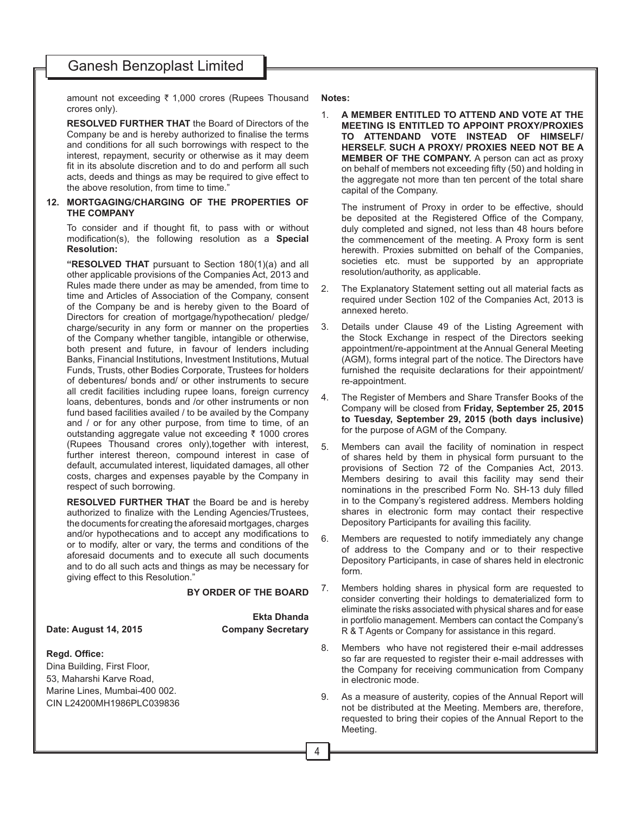amount not exceeding  $\bar{\tau}$  1,000 crores (Rupees Thousand crores only).

**RESOLVED FURTHER THAT** the Board of Directors of the Company be and is hereby authorized to finalise the terms and conditions for all such borrowings with respect to the interest, repayment, security or otherwise as it may deem fit in its absolute discretion and to do and perform all such acts, deeds and things as may be required to give effect to the above resolution, from time to time."

## **12. MORTGAGING/CHARGING OF THE PROPERTIES OF THE COMPANY**

To consider and if thought fit, to pass with or without modification(s), the following resolution as a **Special Resolution:**

**"RESOLVED THAT** pursuant to Section 180(1)(a) and all other applicable provisions of the Companies Act, 2013 and Rules made there under as may be amended, from time to time and Articles of Association of the Company, consent of the Company be and is hereby given to the Board of Directors for creation of mortgage/hypothecation/ pledge/ charge/security in any form or manner on the properties of the Company whether tangible, intangible or otherwise, both present and future, in favour of lenders including Banks, Financial Institutions, Investment Institutions, Mutual Funds, Trusts, other Bodies Corporate, Trustees for holders of debentures/ bonds and/ or other instruments to secure all credit facilities including rupee loans, foreign currency loans, debentures, bonds and /or other instruments or non fund based facilities availed / to be availed by the Company and / or for any other purpose, from time to time, of an outstanding aggregate value not exceeding  $\bar{\tau}$  1000 crores (Rupees Thousand crores only),together with interest, further interest thereon, compound interest in case of default, accumulated interest, liquidated damages, all other costs, charges and expenses payable by the Company in respect of such borrowing.

**RESOLVED FURTHER THAT** the Board be and is hereby authorized to finalize with the Lending Agencies/Trustees, the documents for creating the aforesaid mortgages, charges and/or hypothecations and to accept any modifications to or to modify, alter or vary, the terms and conditions of the aforesaid documents and to execute all such documents and to do all such acts and things as may be necessary for giving effect to this Resolution."

#### **BY ORDER OF THE BOARD**

**Date: August 14, 2015 Company Secretary**

**Ekta Dhanda**

## **Regd. Office:**

Dina Building, First Floor, 53, Maharshi Karve Road, Marine Lines, Mumbai-400 002. CIN L24200MH1986PLC039836 **Notes:**

1. **A MEMBER ENTITLED TO ATTEND AND VOTE AT THE MEETING IS ENTITLED TO APPOINT PROXY/PROXIES TO ATTENDAND VOTE INSTEAD OF HIMSELF/ HERSELF. SUCH A PROXY/ PROXIES NEED NOT BE A MEMBER OF THE COMPANY.** A person can act as proxy on behalf of members not exceeding fifty (50) and holding in the aggregate not more than ten percent of the total share capital of the Company.

The instrument of Proxy in order to be effective, should be deposited at the Registered Office of the Company, duly completed and signed, not less than 48 hours before the commencement of the meeting. A Proxy form is sent herewith. Proxies submitted on behalf of the Companies, societies etc. must be supported by an appropriate resolution/authority, as applicable.

- 2. The Explanatory Statement setting out all material facts as required under Section 102 of the Companies Act, 2013 is annexed hereto.
- 3. Details under Clause 49 of the Listing Agreement with the Stock Exchange in respect of the Directors seeking appointment/re-appointment at the Annual General Meeting (AGM), forms integral part of the notice. The Directors have furnished the requisite declarations for their appointment/ re-appointment.
- 4. The Register of Members and Share Transfer Books of the Company will be closed from **Friday, September 25, 2015 to Tuesday, September 29, 2015 (both days inclusive)** for the purpose of AGM of the Company.
- 5. Members can avail the facility of nomination in respect of shares held by them in physical form pursuant to the provisions of Section 72 of the Companies Act, 2013. Members desiring to avail this facility may send their nominations in the prescribed Form No. SH-13 duly filled in to the Company's registered address. Members holding shares in electronic form may contact their respective Depository Participants for availing this facility.
- 6. Members are requested to notify immediately any change of address to the Company and or to their respective Depository Participants, in case of shares held in electronic form.
- 7. Members holding shares in physical form are requested to consider converting their holdings to dematerialized form to eliminate the risks associated with physical shares and for ease in portfolio management. Members can contact the Company's R & T Agents or Company for assistance in this regard.
- 8. Members who have not registered their e-mail addresses so far are requested to register their e-mail addresses with the Company for receiving communication from Company in electronic mode.
- 9. As a measure of austerity, copies of the Annual Report will not be distributed at the Meeting. Members are, therefore, requested to bring their copies of the Annual Report to the Meeting.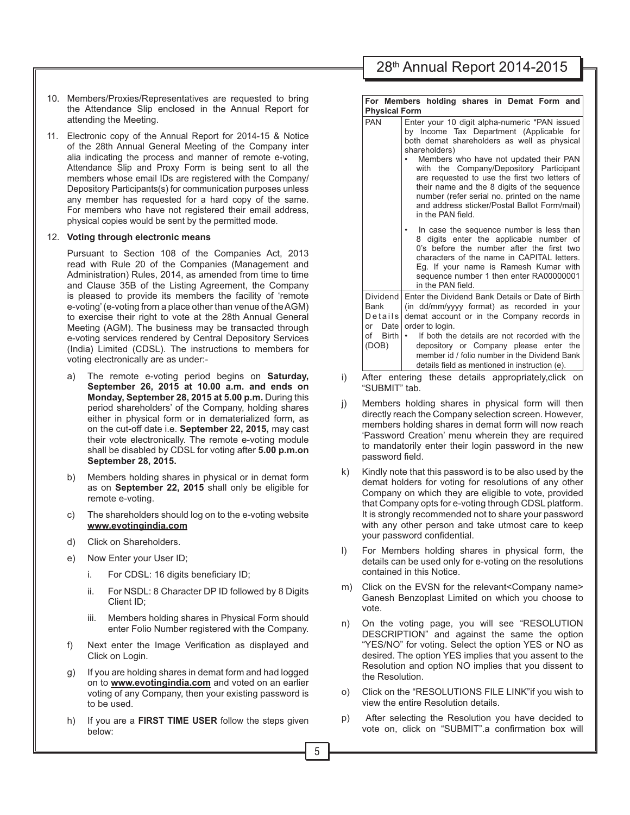- 28th Annual Report 2014-2015
- 10. Members/Proxies/Representatives are requested to bring the Attendance Slip enclosed in the Annual Report for attending the Meeting.
- 11. Electronic copy of the Annual Report for 2014-15 & Notice of the 28th Annual General Meeting of the Company inter alia indicating the process and manner of remote e-voting, Attendance Slip and Proxy Form is being sent to all the members whose email IDs are registered with the Company/ Depository Participants(s) for communication purposes unless any member has requested for a hard copy of the same. For members who have not registered their email address, physical copies would be sent by the permitted mode.

#### 12. **Voting through electronic means**

Pursuant to Section 108 of the Companies Act, 2013 read with Rule 20 of the Companies (Management and Administration) Rules, 2014, as amended from time to time and Clause 35B of the Listing Agreement, the Company is pleased to provide its members the facility of 'remote e-voting' (e-voting from a place other than venue of the AGM) to exercise their right to vote at the 28th Annual General Meeting (AGM). The business may be transacted through e-voting services rendered by Central Depository Services (India) Limited (CDSL). The instructions to members for voting electronically are as under:-

- a) The remote e-voting period begins on **Saturday, September 26, 2015 at 10.00 a.m. and ends on Monday, September 28, 2015 at 5.00 p.m.** During this period shareholders' of the Company, holding shares either in physical form or in dematerialized form, as on the cut-off date i.e. **September 22, 2015,** may cast their vote electronically. The remote e-voting module shall be disabled by CDSL for voting after **5.00 p.m.on September 28, 2015.**
- b) Members holding shares in physical or in demat form as on **September 22, 2015** shall only be eligible for remote e-voting.
- c) The shareholders should log on to the e-voting website **www.evotingindia.com**
- d) Click on Shareholders.
- e) Now Enter your User ID;
	- $i.$  For CDSL: 16 digits beneficiary ID;
	- ii. For NSDL: 8 Character DP ID followed by 8 Digits Client ID;
	- iii. Members holding shares in Physical Form should enter Folio Number registered with the Company.
- f) Next enter the Image Verification as displayed and Click on Login.
- g) If you are holding shares in demat form and had logged on to **www.evotingindia.com** and voted on an earlier voting of any Company, then your existing password is to be used.
- h) If you are a **FIRST TIME USER** follow the steps given below:

#### **For Members holding shares in Demat Form and Physical Form**

| <b>PAN</b>                                                               | Enter your 10 digit alpha-numeric *PAN issued<br>by Income Tax Department (Applicable for<br>both demat shareholders as well as physical<br>shareholders)<br>Members who have not updated their PAN<br>with the Company/Depository Participant<br>are requested to use the first two letters of<br>their name and the 8 digits of the sequence<br>number (refer serial no. printed on the name<br>and address sticker/Postal Ballot Form/mail)<br>in the PAN field. |  |  |
|--------------------------------------------------------------------------|---------------------------------------------------------------------------------------------------------------------------------------------------------------------------------------------------------------------------------------------------------------------------------------------------------------------------------------------------------------------------------------------------------------------------------------------------------------------|--|--|
|                                                                          | In case the sequence number is less than<br>8 digits enter the applicable number of<br>0's before the number after the first two<br>characters of the name in CAPITAL letters.<br>Eg. If your name is Ramesh Kumar with<br>sequence number 1 then enter RA00000001<br>in the PAN field.                                                                                                                                                                             |  |  |
| Dividend<br>Bank<br>Details<br>Date<br>or<br>of<br><b>Birth</b><br>(DOB) | Enter the Dividend Bank Details or Date of Birth<br>(in dd/mm/yyyy format) as recorded in your<br>demat account or in the Company records in<br>order to login.<br>If both the details are not recorded with the<br>depository or Company please enter the<br>member id / folio number in the Dividend Bank<br>details field as mentioned in instruction (e).                                                                                                       |  |  |

- i) After entering these details appropriately,click on "SUBMIT" tab.
- j) Members holding shares in physical form will then directly reach the Company selection screen. However, members holding shares in demat form will now reach 'Password Creation' menu wherein they are required to mandatorily enter their login password in the new password field.
- Kindly note that this password is to be also used by the demat holders for voting for resolutions of any other Company on which they are eligible to vote, provided that Company opts for e-voting through CDSL platform. It is strongly recommended not to share your password with any other person and take utmost care to keep your password confidential.
- l) For Members holding shares in physical form, the details can be used only for e-voting on the resolutions contained in this Notice.
- m) Click on the EVSN for the relevant<Company name> Ganesh Benzoplast Limited on which you choose to vote.
- n) On the voting page, you will see "RESOLUTION DESCRIPTION" and against the same the option "YES/NO" for voting. Select the option YES or NO as desired. The option YES implies that you assent to the Resolution and option NO implies that you dissent to the Resolution.
- o) Click on the "RESOLUTIONS FILE LINK"if you wish to view the entire Resolution details.
- p) After selecting the Resolution you have decided to vote on, click on "SUBMIT".a confirmation box will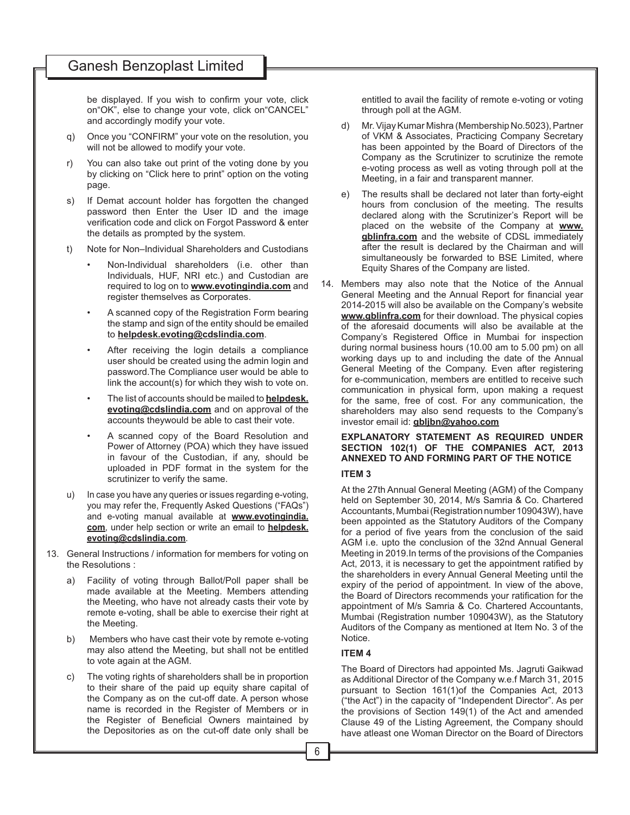be displayed. If you wish to confirm your vote, click on"OK", else to change your vote, click on"CANCEL" and accordingly modify your vote.

- q) Once you "CONFIRM" your vote on the resolution, you will not be allowed to modify your vote.
- r) You can also take out print of the voting done by you by clicking on "Click here to print" option on the voting page.
- s) If Demat account holder has forgotten the changed password then Enter the User ID and the image verification code and click on Forgot Password & enter the details as prompted by the system.
- t) Note for Non–Individual Shareholders and Custodians
	- Non-Individual shareholders (i.e. other than Individuals, HUF, NRI etc.) and Custodian are required to log on to **www.evotingindia.com** and register themselves as Corporates.
	- A scanned copy of the Registration Form bearing the stamp and sign of the entity should be emailed to **helpdesk.evoting@cdslindia.com**.
	- After receiving the login details a compliance user should be created using the admin login and password.The Compliance user would be able to link the account(s) for which they wish to vote on.
	- The list of accounts should be mailed to **helpdesk. evoting@cdslindia.com** and on approval of the accounts theywould be able to cast their vote.
	- A scanned copy of the Board Resolution and Power of Attorney (POA) which they have issued in favour of the Custodian, if any, should be uploaded in PDF format in the system for the scrutinizer to verify the same.
- u) In case you have any queries or issues regarding e-voting, you may refer the, Frequently Asked Questions ("FAQs") and e-voting manual available at **www.evotingindia. com**, under help section or write an email to **helpdesk. evoting@cdslindia.com**.
- 13. General Instructions / information for members for voting on the Resolutions :
	- a) Facility of voting through Ballot/Poll paper shall be made available at the Meeting. Members attending the Meeting, who have not already casts their vote by remote e-voting, shall be able to exercise their right at the Meeting.
	- b) Members who have cast their vote by remote e-voting may also attend the Meeting, but shall not be entitled to vote again at the AGM.
	- c) The voting rights of shareholders shall be in proportion to their share of the paid up equity share capital of the Company as on the cut-off date. A person whose name is recorded in the Register of Members or in the Register of Beneficial Owners maintained by the Depositories as on the cut-off date only shall be

entitled to avail the facility of remote e-voting or voting through poll at the AGM.

- d) Mr. Vijay Kumar Mishra (Membership No.5023), Partner of VKM & Associates, Practicing Company Secretary has been appointed by the Board of Directors of the Company as the Scrutinizer to scrutinize the remote e-voting process as well as voting through poll at the Meeting, in a fair and transparent manner.
- e) The results shall be declared not later than forty-eight hours from conclusion of the meeting. The results declared along with the Scrutinizer's Report will be placed on the website of the Company at **www. gblinfra.com** and the website of CDSL immediately after the result is declared by the Chairman and will simultaneously be forwarded to BSE Limited, where Equity Shares of the Company are listed.
- 14. Members may also note that the Notice of the Annual General Meeting and the Annual Report for financial year 2014-2015 will also be available on the Company's website **www.gblinfra.com** for their download. The physical copies of the aforesaid documents will also be available at the Company's Registered Office in Mumbai for inspection during normal business hours (10.00 am to 5.00 pm) on all working days up to and including the date of the Annual General Meeting of the Company. Even after registering for e-communication, members are entitled to receive such communication in physical form, upon making a request for the same, free of cost. For any communication, the shareholders may also send requests to the Company's investor email id: **gbljbn@yahoo.com**

## **EXPLANATORY STATEMENT AS REQUIRED UNDER SECTION 102(1) OF THE COMPANIES ACT, 2013 ANNEXED TO AND FORMING PART OF THE NOTICE ITEM 3**

At the 27th Annual General Meeting (AGM) of the Company held on September 30, 2014, M/s Samria & Co. Chartered Accountants, Mumbai (Registration number 109043W), have been appointed as the Statutory Auditors of the Company for a period of five years from the conclusion of the said AGM i.e. upto the conclusion of the 32nd Annual General Meeting in 2019.In terms of the provisions of the Companies Act, 2013, it is necessary to get the appointment ratified by the shareholders in every Annual General Meeting until the expiry of the period of appointment. In view of the above, the Board of Directors recommends your ratification for the appointment of M/s Samria & Co. Chartered Accountants, Mumbai (Registration number 109043W), as the Statutory Auditors of the Company as mentioned at Item No. 3 of the Notice.

## **ITEM 4**

The Board of Directors had appointed Ms. Jagruti Gaikwad as Additional Director of the Company w.e.f March 31, 2015 pursuant to Section 161(1)of the Companies Act, 2013 ("the Act") in the capacity of "Independent Director". As per the provisions of Section 149(1) of the Act and amended Clause 49 of the Listing Agreement, the Company should have atleast one Woman Director on the Board of Directors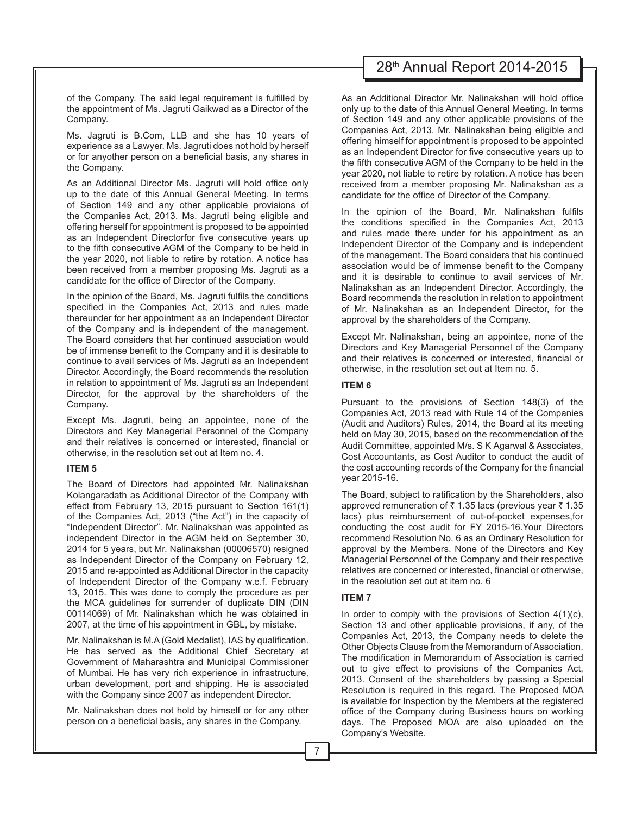of the Company. The said legal requirement is fulfilled by the appointment of Ms. Jagruti Gaikwad as a Director of the Company.

Ms. Jagruti is B.Com, LLB and she has 10 years of experience as a Lawyer. Ms. Jagruti does not hold by herself or for anyother person on a beneficial basis, any shares in the Company.

As an Additional Director Ms. Jagruti will hold office only up to the date of this Annual General Meeting. In terms of Section 149 and any other applicable provisions of the Companies Act, 2013. Ms. Jagruti being eligible and offering herself for appointment is proposed to be appointed as an Independent Directorfor five consecutive years up to the fifth consecutive AGM of the Company to be held in the year 2020, not liable to retire by rotation. A notice has been received from a member proposing Ms. Jagruti as a candidate for the office of Director of the Company.

In the opinion of the Board, Ms. Jagruti fulfils the conditions specified in the Companies Act, 2013 and rules made thereunder for her appointment as an Independent Director of the Company and is independent of the management. The Board considers that her continued association would be of immense benefit to the Company and it is desirable to continue to avail services of Ms. Jagruti as an Independent Director. Accordingly, the Board recommends the resolution in relation to appointment of Ms. Jagruti as an Independent Director, for the approval by the shareholders of the Company.

Except Ms. Jagruti, being an appointee, none of the Directors and Key Managerial Personnel of the Company and their relatives is concerned or interested, financial or otherwise, in the resolution set out at Item no. 4.

#### **ITEM 5**

The Board of Directors had appointed Mr. Nalinakshan Kolangaradath as Additional Director of the Company with effect from February 13, 2015 pursuant to Section 161(1) of the Companies Act, 2013 ("the Act") in the capacity of "Independent Director". Mr. Nalinakshan was appointed as independent Director in the AGM held on September 30, 2014 for 5 years, but Mr. Nalinakshan (00006570) resigned as Independent Director of the Company on February 12, 2015 and re-appointed as Additional Director in the capacity of Independent Director of the Company w.e.f. February 13, 2015. This was done to comply the procedure as per the MCA guidelines for surrender of duplicate DIN (DIN 00114069) of Mr. Nalinakshan which he was obtained in 2007, at the time of his appointment in GBL, by mistake.

Mr. Nalinakshan is M.A (Gold Medalist), IAS by qualification. He has served as the Additional Chief Secretary at Government of Maharashtra and Municipal Commissioner of Mumbai. He has very rich experience in infrastructure, urban development, port and shipping. He is associated with the Company since 2007 as independent Director.

Mr. Nalinakshan does not hold by himself or for any other person on a beneficial basis, any shares in the Company.

# 28th Annual Report 2014-2015

As an Additional Director Mr. Nalinakshan will hold office only up to the date of this Annual General Meeting. In terms of Section 149 and any other applicable provisions of the Companies Act, 2013. Mr. Nalinakshan being eligible and offering himself for appointment is proposed to be appointed as an Independent Director for five consecutive years up to the fifth consecutive AGM of the Company to be held in the year 2020, not liable to retire by rotation. A notice has been received from a member proposing Mr. Nalinakshan as a candidate for the office of Director of the Company.

In the opinion of the Board, Mr. Nalinakshan fulfils the conditions specified in the Companies Act, 2013 and rules made there under for his appointment as an Independent Director of the Company and is independent of the management. The Board considers that his continued association would be of immense benefit to the Company and it is desirable to continue to avail services of Mr. Nalinakshan as an Independent Director. Accordingly, the Board recommends the resolution in relation to appointment of Mr. Nalinakshan as an Independent Director, for the approval by the shareholders of the Company.

Except Mr. Nalinakshan, being an appointee, none of the Directors and Key Managerial Personnel of the Company and their relatives is concerned or interested, financial or otherwise, in the resolution set out at Item no. 5.

## **ITEM 6**

Pursuant to the provisions of Section 148(3) of the Companies Act, 2013 read with Rule 14 of the Companies (Audit and Auditors) Rules, 2014, the Board at its meeting held on May 30, 2015, based on the recommendation of the Audit Committee, appointed M/s. S K Agarwal & Associates, Cost Accountants, as Cost Auditor to conduct the audit of the cost accounting records of the Company for the financial year 2015-16.

The Board, subject to ratification by the Shareholders, also approved remuneration of  $\bar{\tau}$  1.35 lacs (previous year  $\bar{\tau}$  1.35 lacs) plus reimbursement of out-of-pocket expenses, for conducting the cost audit for FY 2015-16.Your Directors recommend Resolution No. 6 as an Ordinary Resolution for approval by the Members. None of the Directors and Key Managerial Personnel of the Company and their respective relatives are concerned or interested, financial or otherwise, in the resolution set out at item no. 6

## **ITEM 7**

In order to comply with the provisions of Section  $4(1)(c)$ , Section 13 and other applicable provisions, if any, of the Companies Act, 2013, the Company needs to delete the Other Objects Clause from the Memorandum of Association. The modification in Memorandum of Association is carried out to give effect to provisions of the Companies Act, 2013. Consent of the shareholders by passing a Special Resolution is required in this regard. The Proposed MOA is available for Inspection by the Members at the registered office of the Company during Business hours on working days. The Proposed MOA are also uploaded on the Company's Website.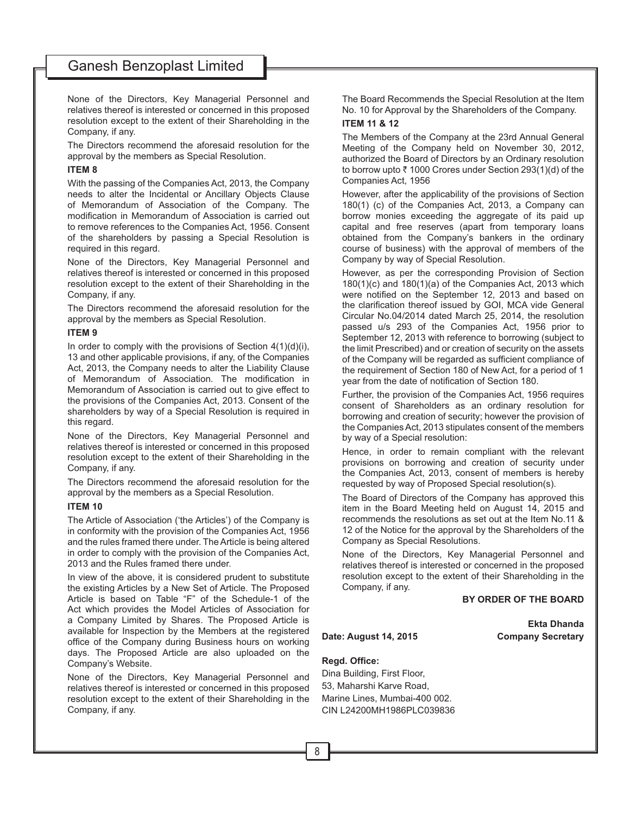None of the Directors, Key Managerial Personnel and relatives thereof is interested or concerned in this proposed resolution except to the extent of their Shareholding in the Company, if any.

The Directors recommend the aforesaid resolution for the approval by the members as Special Resolution.

## **ITEM 8**

With the passing of the Companies Act, 2013, the Company needs to alter the Incidental or Ancillary Objects Clause of Memorandum of Association of the Company. The modification in Memorandum of Association is carried out to remove references to the Companies Act, 1956. Consent of the shareholders by passing a Special Resolution is required in this regard.

None of the Directors, Key Managerial Personnel and relatives thereof is interested or concerned in this proposed resolution except to the extent of their Shareholding in the Company, if any.

The Directors recommend the aforesaid resolution for the approval by the members as Special Resolution.

## **ITEM 9**

In order to comply with the provisions of Section  $4(1)(d)(i)$ , 13 and other applicable provisions, if any, of the Companies Act, 2013, the Company needs to alter the Liability Clause of Memorandum of Association. The modification in Memorandum of Association is carried out to give effect to the provisions of the Companies Act, 2013. Consent of the shareholders by way of a Special Resolution is required in this regard.

None of the Directors, Key Managerial Personnel and relatives thereof is interested or concerned in this proposed resolution except to the extent of their Shareholding in the Company, if any.

The Directors recommend the aforesaid resolution for the approval by the members as a Special Resolution.

#### **ITEM 10**

The Article of Association ('the Articles') of the Company is in conformity with the provision of the Companies Act, 1956 and the rules framed there under. The Article is being altered in order to comply with the provision of the Companies Act, 2013 and the Rules framed there under

In view of the above, it is considered prudent to substitute the existing Articles by a New Set of Article. The Proposed Article is based on Table "F" of the Schedule-1 of the Act which provides the Model Articles of Association for a Company Limited by Shares. The Proposed Article is available for Inspection by the Members at the registered office of the Company during Business hours on working days. The Proposed Article are also uploaded on the Company's Website.

None of the Directors, Key Managerial Personnel and relatives thereof is interested or concerned in this proposed resolution except to the extent of their Shareholding in the Company, if any.

The Board Recommends the Special Resolution at the Item No. 10 for Approval by the Shareholders of the Company.

## **ITEM 11 & 12**

The Members of the Company at the 23rd Annual General Meeting of the Company held on November 30, 2012, authorized the Board of Directors by an Ordinary resolution to borrow upto  $\bar{z}$  1000 Crores under Section 293(1)(d) of the Companies Act, 1956

However, after the applicability of the provisions of Section 180(1) (c) of the Companies Act, 2013, a Company can borrow monies exceeding the aggregate of its paid up capital and free reserves (apart from temporary loans obtained from the Company's bankers in the ordinary course of business) with the approval of members of the Company by way of Special Resolution.

However, as per the corresponding Provision of Section 180(1)(c) and 180(1)(a) of the Companies Act, 2013 which were notified on the September 12, 2013 and based on the clarification thereof issued by GOI, MCA vide General Circular No.04/2014 dated March 25, 2014, the resolution passed u/s 293 of the Companies Act, 1956 prior to September 12, 2013 with reference to borrowing (subject to the limit Prescribed) and or creation of security on the assets of the Company will be regarded as sufficient compliance of the requirement of Section 180 of New Act, for a period of 1 year from the date of notification of Section 180.

Further, the provision of the Companies Act, 1956 requires consent of Shareholders as an ordinary resolution for borrowing and creation of security; however the provision of the Companies Act, 2013 stipulates consent of the members by way of a Special resolution:

Hence, in order to remain compliant with the relevant provisions on borrowing and creation of security under the Companies Act, 2013, consent of members is hereby requested by way of Proposed Special resolution(s).

The Board of Directors of the Company has approved this item in the Board Meeting held on August 14, 2015 and recommends the resolutions as set out at the Item No.11 & 12 of the Notice for the approval by the Shareholders of the Company as Special Resolutions.

None of the Directors, Key Managerial Personnel and relatives thereof is interested or concerned in the proposed resolution except to the extent of their Shareholding in the Company, if any.

## **BY ORDER OF THE BOARD**

**Ekta Dhanda Date: August 14, 2015 Company Secretary**

## **Regd. Office:**

Dina Building, First Floor, 53, Maharshi Karve Road, Marine Lines, Mumbai-400 002. CIN L24200MH1986PLC039836